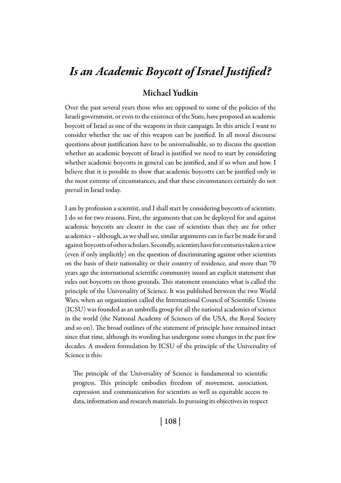# *Is an Academic Boycott of Israel Justified?*

# Michael Yudkin

Over the past several years those who are opposed to some of the policies of the Israeli government, or even to the existence of the State, have proposed an academic boycott of Israel as one of the weapons in their campaign. In this article I want to consider whether the use of this weapon can be justified. In all moral discourse questions about justification have to be universalisable, so to discuss the question whether an academic boycott of Israel is justified we need to start by considering whether academic boycotts in general can be justified, and if so when and how. I believe that it is possible to show that academic boycotts can be justified only in the most extreme of circumstances, and that these circumstances certainly do not prevail in Israel today.

I am by profession a scientist, and I shall start by considering boycotts of scientists. I do so for two reasons. First, the arguments that can be deployed for and against academic boycotts are clearer in the case of scientists than they are for other academics – although, as we shall see, similar arguments can in fact be made for and against boycotts of other scholars. Secondly, scientists have for centuries taken a view (even if only implicitly) on the question of discriminating against other scientists on the basis of their nationality or their country of residence, and more than 70 years ago the international scientific community issued an explicit statement that rules out boycotts on those grounds. This statement enunciates what is called the principle of the Universality of Science. It was published between the two World Wars, when an organization called the International Council of Scientific Unions (ICSU) was founded as an umbrella group for all the national academies of science in the world (the National Academy of Sciences of the USA, the Royal Society and so on). The broad outlines of the statement of principle have remained intact since that time, although its wording has undergone some changes in the past few decades. A modern formulation by ICSU of the principle of the Universality of Science is this:

The principle of the Universality of Science is fundamental to scientific progress. This principle embodies freedom of movement, association, expression and communication for scientists as well as equitable access to data, information and research materials. In pursuing its objectives in respect

| 108 |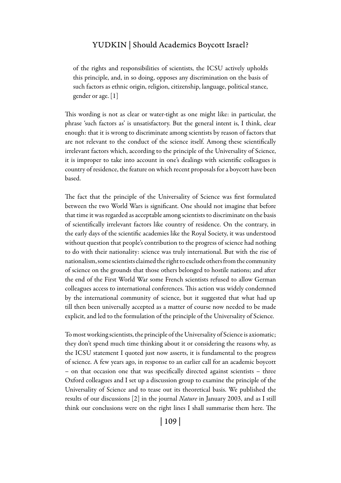of the rights and responsibilities of scientists, the ICSU actively upholds this principle, and, in so doing, opposes any discrimination on the basis of such factors as ethnic origin, religion, citizenship, language, political stance, gender or age. [1]

This wording is not as clear or water-tight as one might like: in particular, the phrase 'such factors as' is unsatisfactory. But the general intent is, I think, clear enough: that it is wrong to discriminate among scientists by reason of factors that are not relevant to the conduct of the science itself. Among these scientifically irrelevant factors which, according to the principle of the Universality of Science, it is improper to take into account in one's dealings with scientific colleagues is country of residence, the feature on which recent proposals for a boycott have been based.

The fact that the principle of the Universality of Science was first formulated between the two World Wars is significant. One should not imagine that before that time it was regarded as acceptable among scientists to discriminate on the basis of scientifically irrelevant factors like country of residence. On the contrary, in the early days of the scientific academies like the Royal Society, it was understood without question that people's contribution to the progress of science had nothing to do with their nationality: science was truly international. But with the rise of nationalism, some scientists claimed the right to exclude others from the community of science on the grounds that those others belonged to hostile nations; and after the end of the First World War some French scientists refused to allow German colleagues access to international conferences. This action was widely condemned by the international community of science, but it suggested that what had up till then been universally accepted as a matter of course now needed to be made explicit, and led to the formulation of the principle of the Universality of Science.

To most working scientists, the principle of the Universality of Science is axiomatic; they don't spend much time thinking about it or considering the reasons why, as the ICSU statement I quoted just now asserts, it is fundamental to the progress of science. A few years ago, in response to an earlier call for an academic boycott – on that occasion one that was specifically directed against scientists – three Oxford colleagues and I set up a discussion group to examine the principle of the Universality of Science and to tease out its theoretical basis. We published the results of our discussions [2] in the journal *Nature* in January 2003, and as I still think our conclusions were on the right lines I shall summarise them here. The

| 109 |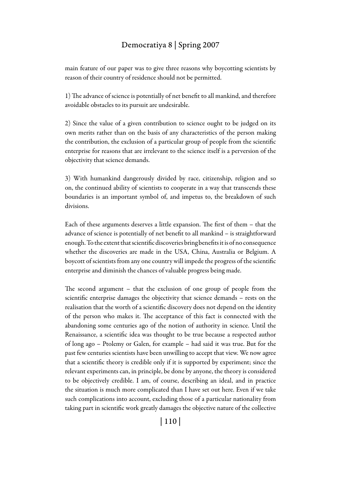main feature of our paper was to give three reasons why boycotting scientists by reason of their country of residence should not be permitted.

1) The advance of science is potentially of net benefit to all mankind, and therefore avoidable obstacles to its pursuit are undesirable.

2) Since the value of a given contribution to science ought to be judged on its own merits rather than on the basis of any characteristics of the person making the contribution, the exclusion of a particular group of people from the scientific enterprise for reasons that are irrelevant to the science itself is a perversion of the objectivity that science demands.

3) With humankind dangerously divided by race, citizenship, religion and so on, the continued ability of scientists to cooperate in a way that transcends these boundaries is an important symbol of, and impetus to, the breakdown of such divisions.

Each of these arguments deserves a little expansion. The first of them – that the advance of science is potentially of net benefit to all mankind – is straightforward enough. To the extent that scientific discoveries bring benefits it is of no consequence whether the discoveries are made in the USA, China, Australia or Belgium. A boycott of scientists from any one country will impede the progress of the scientific enterprise and diminish the chances of valuable progress being made.

The second argument – that the exclusion of one group of people from the scientific enterprise damages the objectivity that science demands – rests on the realisation that the worth of a scientific discovery does not depend on the identity of the person who makes it. The acceptance of this fact is connected with the abandoning some centuries ago of the notion of authority in science. Until the Renaissance, a scientific idea was thought to be true because a respected author of long ago – Ptolemy or Galen, for example – had said it was true. But for the past few centuries scientists have been unwilling to accept that view. We now agree that a scientific theory is credible only if it is supported by experiment; since the relevant experiments can, in principle, be done by anyone, the theory is considered to be objectively credible. I am, of course, describing an ideal, and in practice the situation is much more complicated than I have set out here. Even if we take such complications into account, excluding those of a particular nationality from taking part in scientific work greatly damages the objective nature of the collective

| 110 |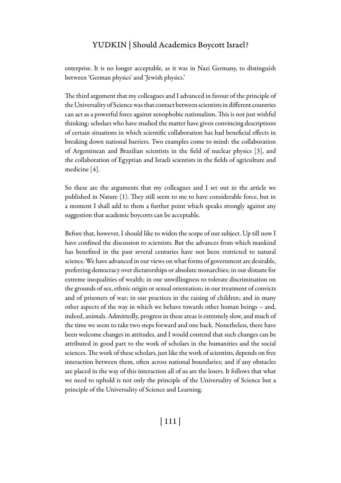enterprise. It is no longer acceptable, as it was in Nazi Germany, to distinguish between 'German physics' and 'Jewish physics.'

The third argument that my colleagues and I advanced in favour of the principle of the Universality of Science was that contact between scientists in different countries can act as a powerful force against xenophobic nationalism. This is not just wishful thinking: scholars who have studied the matter have given convincing descriptions of certain situations in which scientific collaboration has had beneficial effects in breaking down national barriers. Two examples come to mind: the collaboration of Argentinean and Brazilian scientists in the field of nuclear physics [3], and the collaboration of Egyptian and Israeli scientists in the fields of agriculture and medicine [4].

So these are the arguments that my colleagues and I set out in the article we published in Nature (1). They still seem to me to have considerable force, but in a moment I shall add to them a further point which speaks strongly against any suggestion that academic boycotts can be acceptable.

Before that, however, I should like to widen the scope of our subject. Up till now I have confined the discussion to scientists. But the advances from which mankind has benefited in the past several centuries have not been restricted to natural science. We have advanced in our views on what forms of government are desirable, preferring democracy over dictatorships or absolute monarchies; in our distaste for extreme inequalities of wealth; in our unwillingness to tolerate discrimination on the grounds of sex, ethnic origin or sexual orientation; in our treatment of convicts and of prisoners of war; in our practices in the raising of children; and in many other aspects of the way in which we behave towards other human beings – and, indeed, animals. Admittedly, progress in these areas is extremely slow, and much of the time we seem to take two steps forward and one back. Nonetheless, there have been welcome changes in attitudes, and I would contend that such changes can be attributed in good part to the work of scholars in the humanities and the social sciences. The work of these scholars, just like the work of scientists, depends on free interaction between them, often across national boundaries; and if any obstacles are placed in the way of this interaction all of us are the losers. It follows that what we need to uphold is not only the principle of the Universality of Science but a principle of the Universality of Science and Learning.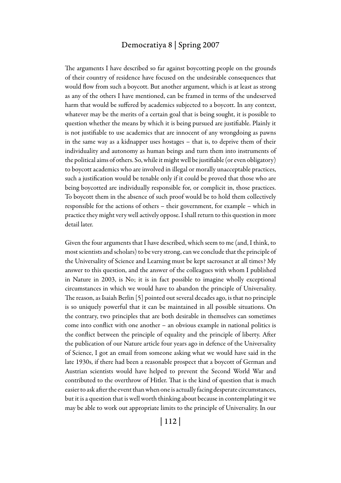The arguments I have described so far against boycotting people on the grounds of their country of residence have focused on the undesirable consequences that would flow from such a boycott. But another argument, which is at least as strong as any of the others I have mentioned, can be framed in terms of the undeserved harm that would be suffered by academics subjected to a boycott. In any context, whatever may be the merits of a certain goal that is being sought, it is possible to question whether the means by which it is being pursued are justifiable. Plainly it is not justifiable to use academics that are innocent of any wrongdoing as pawns in the same way as a kidnapper uses hostages – that is, to deprive them of their individuality and autonomy as human beings and turn them into instruments of the political aims of others. So, while it might well be justifiable (or even obligatory) to boycott academics who are involved in illegal or morally unacceptable practices, such a justification would be tenable only if it could be proved that those who are being boycotted are individually responsible for, or complicit in, those practices. To boycott them in the absence of such proof would be to hold them collectively responsible for the actions of others – their government, for example – which in practice they might very well actively oppose. I shall return to this question in more detail later.

Given the four arguments that I have described, which seem to me (and, I think, to most scientists and scholars) to be very strong, can we conclude that the principle of the Universality of Science and Learning must be kept sacrosanct at all times? My answer to this question, and the answer of the colleagues with whom I published in Nature in 2003, is No; it is in fact possible to imagine wholly exceptional circumstances in which we would have to abandon the principle of Universality. The reason, as Isaiah Berlin [5] pointed out several decades ago, is that no principle is so uniquely powerful that it can be maintained in all possible situations. On the contrary, two principles that are both desirable in themselves can sometimes come into conflict with one another – an obvious example in national politics is the conflict between the principle of equality and the principle of liberty. After the publication of our Nature article four years ago in defence of the Universality of Science, I got an email from someone asking what we would have said in the late 1930s, if there had been a reasonable prospect that a boycott of German and Austrian scientists would have helped to prevent the Second World War and contributed to the overthrow of Hitler. That is the kind of question that is much easier to ask after the event than when one is actually facing desperate circumstances, but it is a question that is well worth thinking about because in contemplating it we may be able to work out appropriate limits to the principle of Universality. In our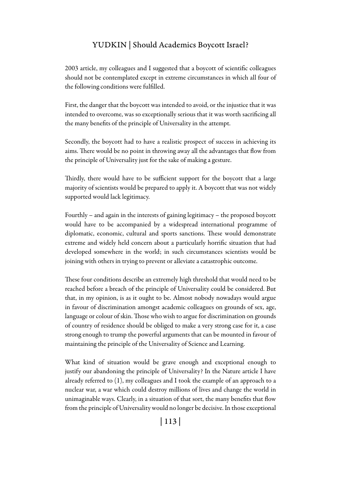2003 article, my colleagues and I suggested that a boycott of scientific colleagues should not be contemplated except in extreme circumstances in which all four of the following conditions were fulfilled.

First, the danger that the boycott was intended to avoid, or the injustice that it was intended to overcome, was so exceptionally serious that it was worth sacrificing all the many benefits of the principle of Universality in the attempt.

Secondly, the boycott had to have a realistic prospect of success in achieving its aims. There would be no point in throwing away all the advantages that flow from the principle of Universality just for the sake of making a gesture.

Thirdly, there would have to be sufficient support for the boycott that a large majority of scientists would be prepared to apply it. A boycott that was not widely supported would lack legitimacy.

Fourthly – and again in the interests of gaining legitimacy – the proposed boycott would have to be accompanied by a widespread international programme of diplomatic, economic, cultural and sports sanctions. These would demonstrate extreme and widely held concern about a particularly horrific situation that had developed somewhere in the world; in such circumstances scientists would be joining with others in trying to prevent or alleviate a catastrophic outcome.

These four conditions describe an extremely high threshold that would need to be reached before a breach of the principle of Universality could be considered. But that, in my opinion, is as it ought to be. Almost nobody nowadays would argue in favour of discrimination amongst academic colleagues on grounds of sex, age, language or colour of skin. Those who wish to argue for discrimination on grounds of country of residence should be obliged to make a very strong case for it, a case strong enough to trump the powerful arguments that can be mounted in favour of maintaining the principle of the Universality of Science and Learning.

What kind of situation would be grave enough and exceptional enough to justify our abandoning the principle of Universality? In the Nature article I have already referred to (1), my colleagues and I took the example of an approach to a nuclear war, a war which could destroy millions of lives and change the world in unimaginable ways. Clearly, in a situation of that sort, the many benefits that flow from the principle of Universality would no longer be decisive. In those exceptional

| 113 |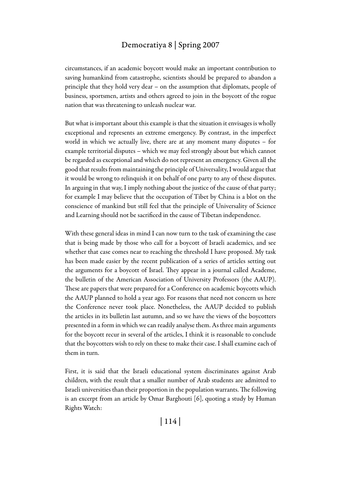circumstances, if an academic boycott would make an important contribution to saving humankind from catastrophe, scientists should be prepared to abandon a principle that they hold very dear – on the assumption that diplomats, people of business, sportsmen, artists and others agreed to join in the boycott of the rogue nation that was threatening to unleash nuclear war.

But what is important about this example is that the situation it envisages is wholly exceptional and represents an extreme emergency. By contrast, in the imperfect world in which we actually live, there are at any moment many disputes – for example territorial disputes – which we may feel strongly about but which cannot be regarded as exceptional and which do not represent an emergency. Given all the good that results from maintaining the principle of Universality, I would argue that it would be wrong to relinquish it on behalf of one party to any of these disputes. In arguing in that way, I imply nothing about the justice of the cause of that party; for example I may believe that the occupation of Tibet by China is a blot on the conscience of mankind but still feel that the principle of Universality of Science and Learning should not be sacrificed in the cause of Tibetan independence.

With these general ideas in mind I can now turn to the task of examining the case that is being made by those who call for a boycott of Israeli academics, and see whether that case comes near to reaching the threshold I have proposed. My task has been made easier by the recent publication of a series of articles setting out the arguments for a boycott of Israel. They appear in a journal called Academe, the bulletin of the American Association of University Professors (the AAUP). These are papers that were prepared for a Conference on academic boycotts which the AAUP planned to hold a year ago. For reasons that need not concern us here the Conference never took place. Nonetheless, the AAUP decided to publish the articles in its bulletin last autumn, and so we have the views of the boycotters presented in a form in which we can readily analyse them. As three main arguments for the boycott recur in several of the articles, I think it is reasonable to conclude that the boycotters wish to rely on these to make their case. I shall examine each of them in turn.

First, it is said that the Israeli educational system discriminates against Arab children, with the result that a smaller number of Arab students are admitted to Israeli universities than their proportion in the population warrants. The following is an excerpt from an article by Omar Barghouti [6], quoting a study by Human Rights Watch:

| 114 |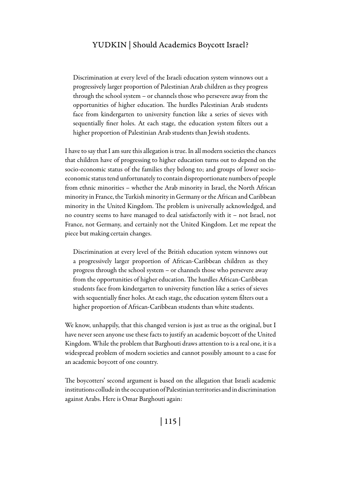Discrimination at every level of the Israeli education system winnows out a progressively larger proportion of Palestinian Arab children as they progress through the school system – or channels those who persevere away from the opportunities of higher education. The hurdles Palestinian Arab students face from kindergarten to university function like a series of sieves with sequentially finer holes. At each stage, the education system filters out a higher proportion of Palestinian Arab students than Jewish students.

I have to say that I am sure this allegation is true. In all modern societies the chances that children have of progressing to higher education turns out to depend on the socio-economic status of the families they belong to; and groups of lower socioeconomic status tend unfortunately to contain disproportionate numbers of people from ethnic minorities – whether the Arab minority in Israel, the North African minority in France, the Turkish minority in Germany or the African and Caribbean minority in the United Kingdom. The problem is universally acknowledged, and no country seems to have managed to deal satisfactorily with it – not Israel, not France, not Germany, and certainly not the United Kingdom. Let me repeat the piece but making certain changes.

Discrimination at every level of the British education system winnows out a progressively larger proportion of African-Caribbean children as they progress through the school system – or channels those who persevere away from the opportunities of higher education. The hurdles African-Caribbean students face from kindergarten to university function like a series of sieves with sequentially finer holes. At each stage, the education system filters out a higher proportion of African-Caribbean students than white students.

We know, unhappily, that this changed version is just as true as the original, but I have never seen anyone use these facts to justify an academic boycott of the United Kingdom. While the problem that Barghouti draws attention to is a real one, it is a widespread problem of modern societies and cannot possibly amount to a case for an academic boycott of one country.

The boycotters' second argument is based on the allegation that Israeli academic institutions collude in the occupation of Palestinian territories and in discrimination against Arabs. Here is Omar Barghouti again:

| 115 |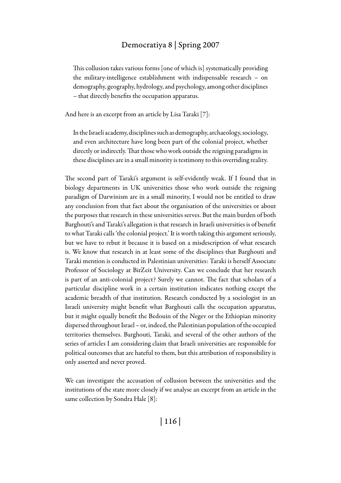This collusion takes various forms [one of which is] systematically providing the military-intelligence establishment with indispensable research – on demography, geography, hydrology, and psychology, among other disciplines – that directly benefits the occupation apparatus.

And here is an excerpt from an article by Lisa Taraki [7]:

In the Israeli academy, disciplines such as demography, archaeology, sociology, and even architecture have long been part of the colonial project, whether directly or indirectly. That those who work outside the reigning paradigms in these disciplines are in a small minority is testimony to this overriding reality.

The second part of Taraki's argument is self-evidently weak. If I found that in biology departments in UK universities those who work outside the reigning paradigm of Darwinism are in a small minority, I would not be entitled to draw any conclusion from that fact about the organisation of the universities or about the purposes that research in these universities serves. But the main burden of both Barghouti's and Taraki's allegation is that research in Israeli universities is of benefit to what Taraki calls 'the colonial project.' It is worth taking this argument seriously, but we have to rebut it because it is based on a misdescription of what research is. We know that research in at least some of the disciplines that Barghouti and Taraki mention is conducted in Palestinian universities: Taraki is herself Associate Professor of Sociology at BirZeit University. Can we conclude that her research is part of an anti-colonial project? Surely we cannot. The fact that scholars of a particular discipline work in a certain institution indicates nothing except the academic breadth of that institution. Research conducted by a sociologist in an Israeli university might benefit what Barghouti calls the occupation apparatus, but it might equally benefit the Bedouin of the Negev or the Ethiopian minority dispersed throughout Israel – or, indeed, the Palestinian population of the occupied territories themselves. Barghouti, Taraki, and several of the other authors of the series of articles I am considering claim that Israeli universities are responsible for political outcomes that are hateful to them, but this attribution of responsibility is only asserted and never proved.

We can investigate the accusation of collusion between the universities and the institutions of the state more closely if we analyse an excerpt from an article in the same collection by Sondra Hale [8]: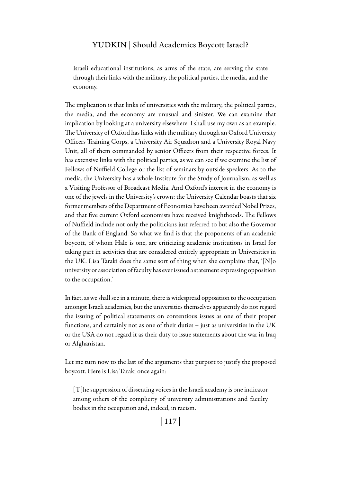Israeli educational institutions, as arms of the state, are serving the state through their links with the military, the political parties, the media, and the economy.

The implication is that links of universities with the military, the political parties, the media, and the economy are unusual and sinister. We can examine that implication by looking at a university elsewhere. I shall use my own as an example. The University of Oxford has links with the military through an Oxford University Officers Training Corps, a University Air Squadron and a University Royal Navy Unit, all of them commanded by senior Officers from their respective forces. It has extensive links with the political parties, as we can see if we examine the list of Fellows of Nuffield College or the list of seminars by outside speakers. As to the media, the University has a whole Institute for the Study of Journalism, as well as a Visiting Professor of Broadcast Media. And Oxford's interest in the economy is one of the jewels in the University's crown: the University Calendar boasts that six former members of the Department of Economics have been awarded Nobel Prizes, and that five current Oxford economists have received knighthoods. The Fellows of Nuffield include not only the politicians just referred to but also the Governor of the Bank of England. So what we find is that the proponents of an academic boycott, of whom Hale is one, are criticizing academic institutions in Israel for taking part in activities that are considered entirely appropriate in Universities in the UK. Lisa Taraki does the same sort of thing when she complains that, '[N]o university or association of faculty has ever issued a statement expressing opposition to the occupation.'

In fact, as we shall see in a minute, there is widespread opposition to the occupation amongst Israeli academics, but the universities themselves apparently do not regard the issuing of political statements on contentious issues as one of their proper functions, and certainly not as one of their duties – just as universities in the UK or the USA do not regard it as their duty to issue statements about the war in Iraq or Afghanistan.

Let me turn now to the last of the arguments that purport to justify the proposed boycott. Here is Lisa Taraki once again:

[T]he suppression of dissenting voices in the Israeli academy is one indicator among others of the complicity of university administrations and faculty bodies in the occupation and, indeed, in racism.

| 117 |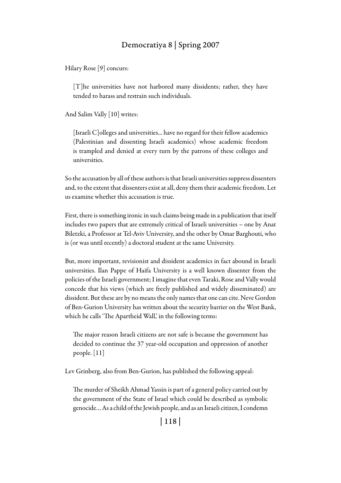Hilary Rose [9] concurs:

[T]he universities have not harbored many dissidents; rather, they have tended to harass and restrain such individuals.

And Salim Vally [10] writes:

[Israeli C]olleges and universities... have no regard for their fellow academics (Palestinian and dissenting Israeli academics) whose academic freedom is trampled and denied at every turn by the patrons of these colleges and universities.

So the accusation by all of these authors is that Israeli universities suppress dissenters and, to the extent that dissenters exist at all, deny them their academic freedom. Let us examine whether this accusation is true.

First, there is something ironic in such claims being made in a publication that itself includes two papers that are extremely critical of Israeli universities – one by Anat Biletzki, a Professor at Tel-Aviv University, and the other by Omar Barghouti, who is (or was until recently) a doctoral student at the same University.

But, more important, revisionist and dissident academics in fact abound in Israeli universities. Ilan Pappe of Haifa University is a well known dissenter from the policies of the Israeli government; I imagine that even Taraki, Rose and Vally would concede that his views (which are freely published and widely disseminated) are dissident. But these are by no means the only names that one can cite. Neve Gordon of Ben-Gurion University has written about the security barrier on the West Bank, which he calls 'The Apartheid Wall,' in the following terms:

The major reason Israeli citizens are not safe is because the government has decided to continue the 37 year-old occupation and oppression of another people. [11]

Lev Grinberg, also from Ben-Gurion, has published the following appeal:

The murder of Sheikh Ahmad Yassin is part of a general policy carried out by the government of the State of Israel which could be described as symbolic genocide… As a child of the Jewish people, and as an Israeli citizen, I condemn

| 118 |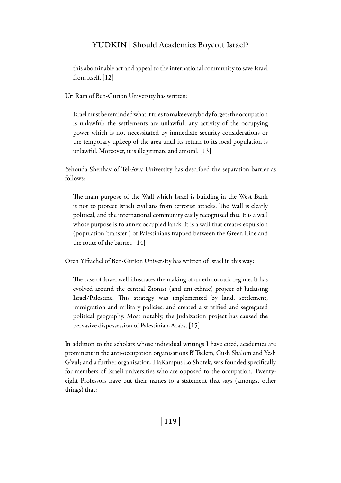this abominable act and appeal to the international community to save Israel from itself. [12]

Uri Ram of Ben-Gurion University has written:

Israel must be reminded what it tries to make everybody forget: the occupation is unlawful; the settlements are unlawful; any activity of the occupying power which is not necessitated by immediate security considerations or the temporary upkeep of the area until its return to its local population is unlawful. Moreover, it is illegitimate and amoral. [13]

Yehouda Shenhav of Tel-Aviv University has described the separation barrier as follows:

The main purpose of the Wall which Israel is building in the West Bank is not to protect Israeli civilians from terrorist attacks. The Wall is clearly political, and the international community easily recognized this. It is a wall whose purpose is to annex occupied lands. It is a wall that creates expulsion (population 'transfer') of Palestinians trapped between the Green Line and the route of the barrier. [14]

Oren Yiftachel of Ben-Gurion University has written of Israel in this way:

The case of Israel well illustrates the making of an ethnocratic regime. It has evolved around the central Zionist (and uni-ethnic) project of Judaising Israel/Palestine. This strategy was implemented by land, settlement, immigration and military policies, and created a stratified and segregated political geography. Most notably, the Judaization project has caused the pervasive dispossession of Palestinian-Arabs. [15]

In addition to the scholars whose individual writings I have cited, academics are prominent in the anti-occupation organisations B'Tselem, Gush Shalom and Yesh G'vul; and a further organisation, HaKampus Lo Shotek, was founded specifically for members of Israeli universities who are opposed to the occupation. Twentyeight Professors have put their names to a statement that says (amongst other things) that:

| 119 |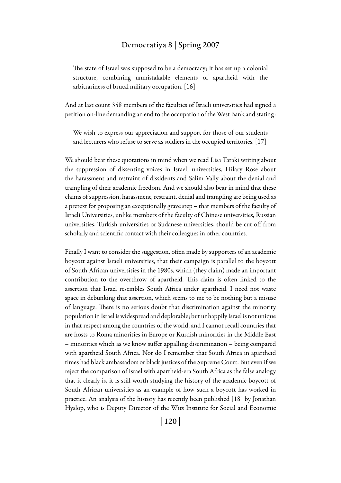The state of Israel was supposed to be a democracy; it has set up a colonial structure, combining unmistakable elements of apartheid with the arbitrariness of brutal military occupation. [16]

And at last count 358 members of the faculties of Israeli universities had signed a petition on-line demanding an end to the occupation of the West Bank and stating:

We wish to express our appreciation and support for those of our students and lecturers who refuse to serve as soldiers in the occupied territories. [17]

We should bear these quotations in mind when we read Lisa Taraki writing about the suppression of dissenting voices in Israeli universities, Hilary Rose about the harassment and restraint of dissidents and Salim Vally about the denial and trampling of their academic freedom. And we should also bear in mind that these claims of suppression, harassment, restraint, denial and trampling are being used as a pretext for proposing an exceptionally grave step – that members of the faculty of Israeli Universities, unlike members of the faculty of Chinese universities, Russian universities, Turkish universities or Sudanese universities, should be cut off from scholarly and scientific contact with their colleagues in other countries.

Finally I want to consider the suggestion, often made by supporters of an academic boycott against Israeli universities, that their campaign is parallel to the boycott of South African universities in the 1980s, which (they claim) made an important contribution to the overthrow of apartheid. This claim is often linked to the assertion that Israel resembles South Africa under apartheid. I need not waste space in debunking that assertion, which seems to me to be nothing but a misuse of language. There is no serious doubt that discrimination against the minority population in Israel is widespread and deplorable; but unhappily Israel is not unique in that respect among the countries of the world, and I cannot recall countries that are hosts to Roma minorities in Europe or Kurdish minorities in the Middle East – minorities which as we know suffer appalling discrimination – being compared with apartheid South Africa. Nor do I remember that South Africa in apartheid times had black ambassadors or black justices of the Supreme Court. But even if we reject the comparison of Israel with apartheid-era South Africa as the false analogy that it clearly is, it is still worth studying the history of the academic boycott of South African universities as an example of how such a boycott has worked in practice. An analysis of the history has recently been published [18] by Jonathan Hyslop, who is Deputy Director of the Wits Institute for Social and Economic

| 120 |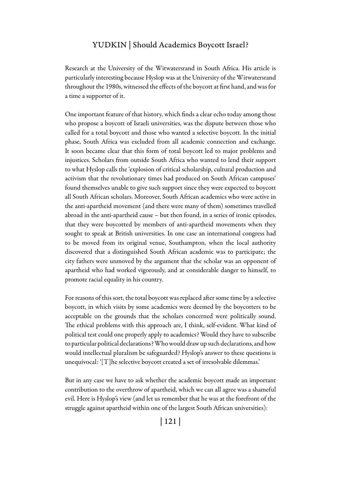Research at the University of the Witwatersrand in South Africa. His article is particularly interesting because Hyslop was at the University of the Witwatersrand throughout the 1980s, witnessed the effects of the boycott at first hand, and was for a time a supporter of it.

One important feature of that history, which finds a clear echo today among those who propose a boycott of Israeli universities, was the dispute between those who called for a total boycott and those who wanted a selective boycott. In the initial phase, South Africa was excluded from all academic connection and exchange. It soon became clear that this form of total boycott led to major problems and injustices. Scholars from outside South Africa who wanted to lend their support to what Hyslop calls the 'explosion of critical scholarship, cultural production and activism that the revolutionary times had produced on South African campuses' found themselves unable to give such support since they were expected to boycott all South African scholars. Moreover, South African academics who were active in the anti-apartheid movement (and there were many of them) sometimes travelled abroad in the anti-apartheid cause – but then found, in a series of ironic episodes, that they were boycotted by members of anti-apartheid movements when they sought to speak at British universities. In one case an international congress had to be moved from its original venue, Southampton, when the local authority discovered that a distinguished South African academic was to participate; the city fathers were unmoved by the argument that the scholar was an opponent of apartheid who had worked vigorously, and at considerable danger to himself, to promote racial equality in his country.

For reasons of this sort, the total boycott was replaced after some time by a selective boycott, in which visits by some academics were deemed by the boycotters to be acceptable on the grounds that the scholars concerned were politically sound. The ethical problems with this approach are, I think, self-evident. What kind of political test could one properly apply to academics? Would they have to subscribe to particular political declarations? Who would draw up such declarations, and how would intellectual pluralism be safeguarded? Hyslop's answer to these questions is unequivocal: '[T]he selective boycott created a set of irresolvable dilemmas.'

But in any case we have to ask whether the academic boycott made an important contribution to the overthrow of apartheid, which we can all agree was a shameful evil. Here is Hyslop's view (and let us remember that he was at the forefront of the struggle against apartheid within one of the largest South African universities):

| 121 |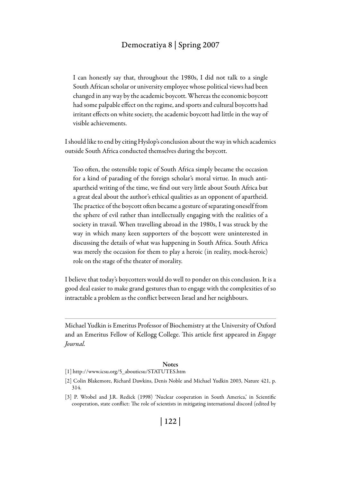I can honestly say that, throughout the 1980s, I did not talk to a single South African scholar or university employee whose political views had been changed in any way by the academic boycott. Whereas the economic boycott had some palpable effect on the regime, and sports and cultural boycotts had irritant effects on white society, the academic boycott had little in the way of visible achievements.

I should like to end by citing Hyslop's conclusion about the way in which academics outside South Africa conducted themselves during the boycott.

Too often, the ostensible topic of South Africa simply became the occasion for a kind of parading of the foreign scholar's moral virtue. In much antiapartheid writing of the time, we find out very little about South Africa but a great deal about the author's ethical qualities as an opponent of apartheid. The practice of the boycott often became a gesture of separating oneself from the sphere of evil rather than intellectually engaging with the realities of a society in travail. When travelling abroad in the 1980s, I was struck by the way in which many keen supporters of the boycott were uninterested in discussing the details of what was happening in South Africa. South Africa was merely the occasion for them to play a heroic (in reality, mock-heroic) role on the stage of the theater of morality.

I believe that today's boycotters would do well to ponder on this conclusion. It is a good deal easier to make grand gestures than to engage with the complexities of so intractable a problem as the conflict between Israel and her neighbours.

Michael Yudkin is Emeritus Professor of Biochemistry at the University of Oxford and an Emeritus Fellow of Kellogg College. This article first appeared in *Engage Journal.*

#### **Notes**

- [1] http://www.icsu.org/5\_abouticsu/STATUTES.htm
- [2] Colin Blakemore, Richard Dawkins, Denis Noble and Michael Yudkin 2003, Nature 421, p. 314.
- [3] P. Wrobel and J.R. Redick (1998) 'Nuclear cooperation in South America,' in Scientific cooperation, state conflict: The role of scientists in mitigating international discord (edited by